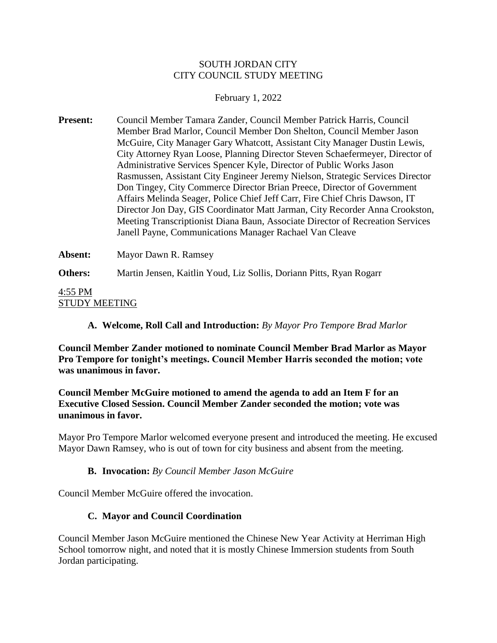### SOUTH JORDAN CITY CITY COUNCIL STUDY MEETING

### February 1, 2022

**Present:** Council Member Tamara Zander, Council Member Patrick Harris, Council Member Brad Marlor, Council Member Don Shelton, Council Member Jason McGuire, City Manager Gary Whatcott, Assistant City Manager Dustin Lewis, City Attorney Ryan Loose, Planning Director Steven Schaefermeyer, Director of Administrative Services Spencer Kyle, Director of Public Works Jason Rasmussen, Assistant City Engineer Jeremy Nielson, Strategic Services Director Don Tingey, City Commerce Director Brian Preece, Director of Government Affairs Melinda Seager, Police Chief Jeff Carr, Fire Chief Chris Dawson, IT Director Jon Day, GIS Coordinator Matt Jarman, City Recorder Anna Crookston, Meeting Transcriptionist Diana Baun, Associate Director of Recreation Services Janell Payne, Communications Manager Rachael Van Cleave

**Absent:** Mayor Dawn R. Ramsey

**Others:** Martin Jensen, Kaitlin Youd, Liz Sollis, Doriann Pitts, Ryan Rogarr

4:55 PM STUDY MEETING

**A. Welcome, Roll Call and Introduction:** *By Mayor Pro Tempore Brad Marlor*

**Council Member Zander motioned to nominate Council Member Brad Marlor as Mayor Pro Tempore for tonight's meetings. Council Member Harris seconded the motion; vote was unanimous in favor.**

## **Council Member McGuire motioned to amend the agenda to add an Item F for an Executive Closed Session. Council Member Zander seconded the motion; vote was unanimous in favor.**

Mayor Pro Tempore Marlor welcomed everyone present and introduced the meeting. He excused Mayor Dawn Ramsey, who is out of town for city business and absent from the meeting.

## **B. Invocation:** *By Council Member Jason McGuire*

Council Member McGuire offered the invocation.

## **C. Mayor and Council Coordination**

Council Member Jason McGuire mentioned the Chinese New Year Activity at Herriman High School tomorrow night, and noted that it is mostly Chinese Immersion students from South Jordan participating.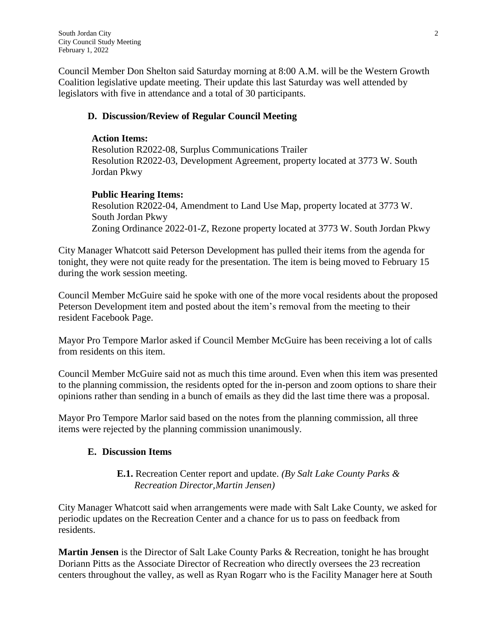Council Member Don Shelton said Saturday morning at 8:00 A.M. will be the Western Growth Coalition legislative update meeting. Their update this last Saturday was well attended by legislators with five in attendance and a total of 30 participants.

# **D. Discussion/Review of Regular Council Meeting**

# **Action Items:**

Resolution R2022-08, Surplus Communications Trailer Resolution R2022-03, Development Agreement, property located at 3773 W. South Jordan Pkwy

# **Public Hearing Items:**

Resolution R2022-04, Amendment to Land Use Map, property located at 3773 W. South Jordan Pkwy Zoning Ordinance 2022-01-Z, Rezone property located at 3773 W. South Jordan Pkwy

City Manager Whatcott said Peterson Development has pulled their items from the agenda for tonight, they were not quite ready for the presentation. The item is being moved to February 15 during the work session meeting.

Council Member McGuire said he spoke with one of the more vocal residents about the proposed Peterson Development item and posted about the item's removal from the meeting to their resident Facebook Page.

Mayor Pro Tempore Marlor asked if Council Member McGuire has been receiving a lot of calls from residents on this item.

Council Member McGuire said not as much this time around. Even when this item was presented to the planning commission, the residents opted for the in-person and zoom options to share their opinions rather than sending in a bunch of emails as they did the last time there was a proposal.

Mayor Pro Tempore Marlor said based on the notes from the planning commission, all three items were rejected by the planning commission unanimously.

# **E. Discussion Items**

## **E.1.** Recreation Center report and update. *(By Salt Lake County Parks & Recreation Director,Martin Jensen)*

City Manager Whatcott said when arrangements were made with Salt Lake County, we asked for periodic updates on the Recreation Center and a chance for us to pass on feedback from residents.

**Martin Jensen** is the Director of Salt Lake County Parks & Recreation, tonight he has brought Doriann Pitts as the Associate Director of Recreation who directly oversees the 23 recreation centers throughout the valley, as well as Ryan Rogarr who is the Facility Manager here at South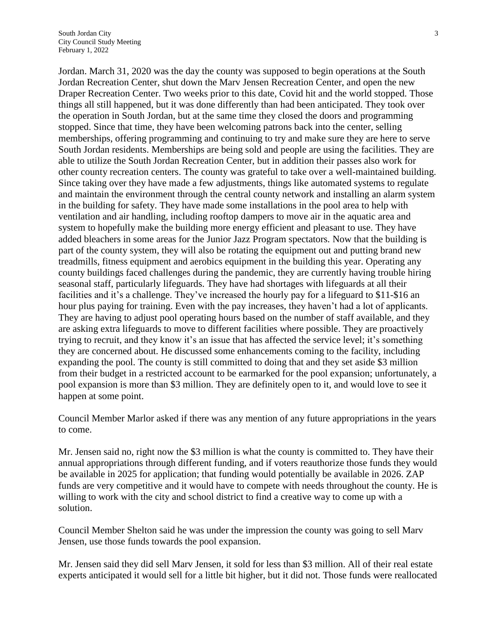Jordan. March 31, 2020 was the day the county was supposed to begin operations at the South Jordan Recreation Center, shut down the Marv Jensen Recreation Center, and open the new Draper Recreation Center. Two weeks prior to this date, Covid hit and the world stopped. Those things all still happened, but it was done differently than had been anticipated. They took over the operation in South Jordan, but at the same time they closed the doors and programming stopped. Since that time, they have been welcoming patrons back into the center, selling memberships, offering programming and continuing to try and make sure they are here to serve South Jordan residents. Memberships are being sold and people are using the facilities. They are able to utilize the South Jordan Recreation Center, but in addition their passes also work for other county recreation centers. The county was grateful to take over a well-maintained building. Since taking over they have made a few adjustments, things like automated systems to regulate and maintain the environment through the central county network and installing an alarm system in the building for safety. They have made some installations in the pool area to help with ventilation and air handling, including rooftop dampers to move air in the aquatic area and system to hopefully make the building more energy efficient and pleasant to use. They have added bleachers in some areas for the Junior Jazz Program spectators. Now that the building is part of the county system, they will also be rotating the equipment out and putting brand new treadmills, fitness equipment and aerobics equipment in the building this year. Operating any county buildings faced challenges during the pandemic, they are currently having trouble hiring seasonal staff, particularly lifeguards. They have had shortages with lifeguards at all their facilities and it's a challenge. They've increased the hourly pay for a lifeguard to \$11-\$16 an hour plus paying for training. Even with the pay increases, they haven't had a lot of applicants. They are having to adjust pool operating hours based on the number of staff available, and they are asking extra lifeguards to move to different facilities where possible. They are proactively trying to recruit, and they know it's an issue that has affected the service level; it's something they are concerned about. He discussed some enhancements coming to the facility, including expanding the pool. The county is still committed to doing that and they set aside \$3 million from their budget in a restricted account to be earmarked for the pool expansion; unfortunately, a pool expansion is more than \$3 million. They are definitely open to it, and would love to see it happen at some point.

Council Member Marlor asked if there was any mention of any future appropriations in the years to come.

Mr. Jensen said no, right now the \$3 million is what the county is committed to. They have their annual appropriations through different funding, and if voters reauthorize those funds they would be available in 2025 for application; that funding would potentially be available in 2026. ZAP funds are very competitive and it would have to compete with needs throughout the county. He is willing to work with the city and school district to find a creative way to come up with a solution.

Council Member Shelton said he was under the impression the county was going to sell Marv Jensen, use those funds towards the pool expansion.

Mr. Jensen said they did sell Marv Jensen, it sold for less than \$3 million. All of their real estate experts anticipated it would sell for a little bit higher, but it did not. Those funds were reallocated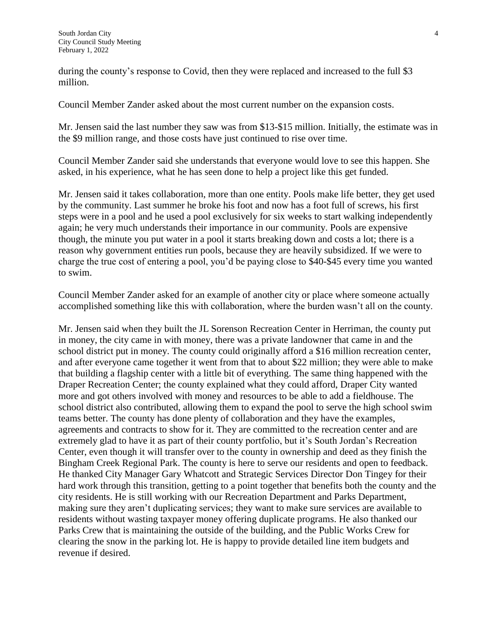during the county's response to Covid, then they were replaced and increased to the full \$3 million.

Council Member Zander asked about the most current number on the expansion costs.

Mr. Jensen said the last number they saw was from \$13-\$15 million. Initially, the estimate was in the \$9 million range, and those costs have just continued to rise over time.

Council Member Zander said she understands that everyone would love to see this happen. She asked, in his experience, what he has seen done to help a project like this get funded.

Mr. Jensen said it takes collaboration, more than one entity. Pools make life better, they get used by the community. Last summer he broke his foot and now has a foot full of screws, his first steps were in a pool and he used a pool exclusively for six weeks to start walking independently again; he very much understands their importance in our community. Pools are expensive though, the minute you put water in a pool it starts breaking down and costs a lot; there is a reason why government entities run pools, because they are heavily subsidized. If we were to charge the true cost of entering a pool, you'd be paying close to \$40-\$45 every time you wanted to swim.

Council Member Zander asked for an example of another city or place where someone actually accomplished something like this with collaboration, where the burden wasn't all on the county.

Mr. Jensen said when they built the JL Sorenson Recreation Center in Herriman, the county put in money, the city came in with money, there was a private landowner that came in and the school district put in money. The county could originally afford a \$16 million recreation center, and after everyone came together it went from that to about \$22 million; they were able to make that building a flagship center with a little bit of everything. The same thing happened with the Draper Recreation Center; the county explained what they could afford, Draper City wanted more and got others involved with money and resources to be able to add a fieldhouse. The school district also contributed, allowing them to expand the pool to serve the high school swim teams better. The county has done plenty of collaboration and they have the examples, agreements and contracts to show for it. They are committed to the recreation center and are extremely glad to have it as part of their county portfolio, but it's South Jordan's Recreation Center, even though it will transfer over to the county in ownership and deed as they finish the Bingham Creek Regional Park. The county is here to serve our residents and open to feedback. He thanked City Manager Gary Whatcott and Strategic Services Director Don Tingey for their hard work through this transition, getting to a point together that benefits both the county and the city residents. He is still working with our Recreation Department and Parks Department, making sure they aren't duplicating services; they want to make sure services are available to residents without wasting taxpayer money offering duplicate programs. He also thanked our Parks Crew that is maintaining the outside of the building, and the Public Works Crew for clearing the snow in the parking lot. He is happy to provide detailed line item budgets and revenue if desired.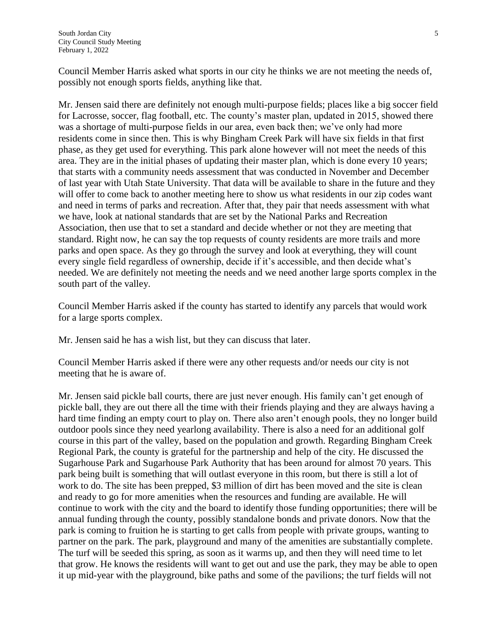Council Member Harris asked what sports in our city he thinks we are not meeting the needs of, possibly not enough sports fields, anything like that.

Mr. Jensen said there are definitely not enough multi-purpose fields; places like a big soccer field for Lacrosse, soccer, flag football, etc. The county's master plan, updated in 2015, showed there was a shortage of multi-purpose fields in our area, even back then; we've only had more residents come in since then. This is why Bingham Creek Park will have six fields in that first phase, as they get used for everything. This park alone however will not meet the needs of this area. They are in the initial phases of updating their master plan, which is done every 10 years; that starts with a community needs assessment that was conducted in November and December of last year with Utah State University. That data will be available to share in the future and they will offer to come back to another meeting here to show us what residents in our zip codes want and need in terms of parks and recreation. After that, they pair that needs assessment with what we have, look at national standards that are set by the National Parks and Recreation Association, then use that to set a standard and decide whether or not they are meeting that standard. Right now, he can say the top requests of county residents are more trails and more parks and open space. As they go through the survey and look at everything, they will count every single field regardless of ownership, decide if it's accessible, and then decide what's needed. We are definitely not meeting the needs and we need another large sports complex in the south part of the valley.

Council Member Harris asked if the county has started to identify any parcels that would work for a large sports complex.

Mr. Jensen said he has a wish list, but they can discuss that later.

Council Member Harris asked if there were any other requests and/or needs our city is not meeting that he is aware of.

Mr. Jensen said pickle ball courts, there are just never enough. His family can't get enough of pickle ball, they are out there all the time with their friends playing and they are always having a hard time finding an empty court to play on. There also aren't enough pools, they no longer build outdoor pools since they need yearlong availability. There is also a need for an additional golf course in this part of the valley, based on the population and growth. Regarding Bingham Creek Regional Park, the county is grateful for the partnership and help of the city. He discussed the Sugarhouse Park and Sugarhouse Park Authority that has been around for almost 70 years. This park being built is something that will outlast everyone in this room, but there is still a lot of work to do. The site has been prepped, \$3 million of dirt has been moved and the site is clean and ready to go for more amenities when the resources and funding are available. He will continue to work with the city and the board to identify those funding opportunities; there will be annual funding through the county, possibly standalone bonds and private donors. Now that the park is coming to fruition he is starting to get calls from people with private groups, wanting to partner on the park. The park, playground and many of the amenities are substantially complete. The turf will be seeded this spring, as soon as it warms up, and then they will need time to let that grow. He knows the residents will want to get out and use the park, they may be able to open it up mid-year with the playground, bike paths and some of the pavilions; the turf fields will not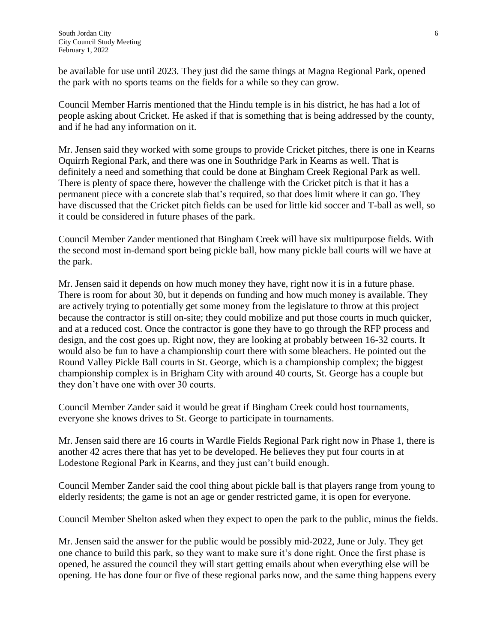be available for use until 2023. They just did the same things at Magna Regional Park, opened the park with no sports teams on the fields for a while so they can grow.

Council Member Harris mentioned that the Hindu temple is in his district, he has had a lot of people asking about Cricket. He asked if that is something that is being addressed by the county, and if he had any information on it.

Mr. Jensen said they worked with some groups to provide Cricket pitches, there is one in Kearns Oquirrh Regional Park, and there was one in Southridge Park in Kearns as well. That is definitely a need and something that could be done at Bingham Creek Regional Park as well. There is plenty of space there, however the challenge with the Cricket pitch is that it has a permanent piece with a concrete slab that's required, so that does limit where it can go. They have discussed that the Cricket pitch fields can be used for little kid soccer and T-ball as well, so it could be considered in future phases of the park.

Council Member Zander mentioned that Bingham Creek will have six multipurpose fields. With the second most in-demand sport being pickle ball, how many pickle ball courts will we have at the park.

Mr. Jensen said it depends on how much money they have, right now it is in a future phase. There is room for about 30, but it depends on funding and how much money is available. They are actively trying to potentially get some money from the legislature to throw at this project because the contractor is still on-site; they could mobilize and put those courts in much quicker, and at a reduced cost. Once the contractor is gone they have to go through the RFP process and design, and the cost goes up. Right now, they are looking at probably between 16-32 courts. It would also be fun to have a championship court there with some bleachers. He pointed out the Round Valley Pickle Ball courts in St. George, which is a championship complex; the biggest championship complex is in Brigham City with around 40 courts, St. George has a couple but they don't have one with over 30 courts.

Council Member Zander said it would be great if Bingham Creek could host tournaments, everyone she knows drives to St. George to participate in tournaments.

Mr. Jensen said there are 16 courts in Wardle Fields Regional Park right now in Phase 1, there is another 42 acres there that has yet to be developed. He believes they put four courts in at Lodestone Regional Park in Kearns, and they just can't build enough.

Council Member Zander said the cool thing about pickle ball is that players range from young to elderly residents; the game is not an age or gender restricted game, it is open for everyone.

Council Member Shelton asked when they expect to open the park to the public, minus the fields.

Mr. Jensen said the answer for the public would be possibly mid-2022, June or July. They get one chance to build this park, so they want to make sure it's done right. Once the first phase is opened, he assured the council they will start getting emails about when everything else will be opening. He has done four or five of these regional parks now, and the same thing happens every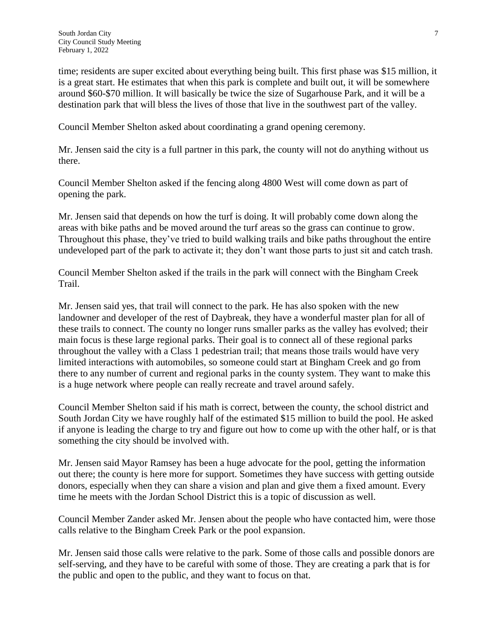time; residents are super excited about everything being built. This first phase was \$15 million, it is a great start. He estimates that when this park is complete and built out, it will be somewhere around \$60-\$70 million. It will basically be twice the size of Sugarhouse Park, and it will be a destination park that will bless the lives of those that live in the southwest part of the valley.

Council Member Shelton asked about coordinating a grand opening ceremony.

Mr. Jensen said the city is a full partner in this park, the county will not do anything without us there.

Council Member Shelton asked if the fencing along 4800 West will come down as part of opening the park.

Mr. Jensen said that depends on how the turf is doing. It will probably come down along the areas with bike paths and be moved around the turf areas so the grass can continue to grow. Throughout this phase, they've tried to build walking trails and bike paths throughout the entire undeveloped part of the park to activate it; they don't want those parts to just sit and catch trash.

Council Member Shelton asked if the trails in the park will connect with the Bingham Creek Trail.

Mr. Jensen said yes, that trail will connect to the park. He has also spoken with the new landowner and developer of the rest of Daybreak, they have a wonderful master plan for all of these trails to connect. The county no longer runs smaller parks as the valley has evolved; their main focus is these large regional parks. Their goal is to connect all of these regional parks throughout the valley with a Class 1 pedestrian trail; that means those trails would have very limited interactions with automobiles, so someone could start at Bingham Creek and go from there to any number of current and regional parks in the county system. They want to make this is a huge network where people can really recreate and travel around safely.

Council Member Shelton said if his math is correct, between the county, the school district and South Jordan City we have roughly half of the estimated \$15 million to build the pool. He asked if anyone is leading the charge to try and figure out how to come up with the other half, or is that something the city should be involved with.

Mr. Jensen said Mayor Ramsey has been a huge advocate for the pool, getting the information out there; the county is here more for support. Sometimes they have success with getting outside donors, especially when they can share a vision and plan and give them a fixed amount. Every time he meets with the Jordan School District this is a topic of discussion as well.

Council Member Zander asked Mr. Jensen about the people who have contacted him, were those calls relative to the Bingham Creek Park or the pool expansion.

Mr. Jensen said those calls were relative to the park. Some of those calls and possible donors are self-serving, and they have to be careful with some of those. They are creating a park that is for the public and open to the public, and they want to focus on that.